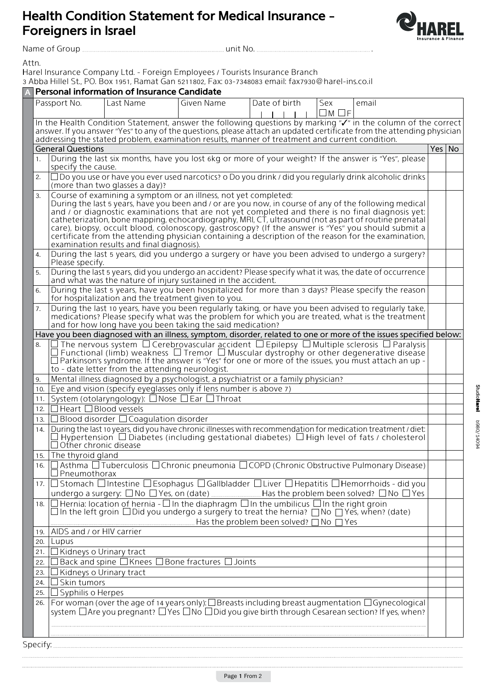## **Health Condition Statement for Medical Insurance -Foreigners** in Israel

3 Abba Hillel St., PO. Box 1951, Ramat Gan 5211802, Fax: 03-7348083 email: fax7930@harel-ins.co.il

Branch Insurance Company Ltd. - Foreign Employees / Tourists Insurance Branch

**Personal information of Insurance Candidate**<br>Passport No. **A Last Name A** Given Name



.Attn

. .No unit Group of Name

In the Health Condition Statement, answer the following questions by marking "√" in the column of the correct

Date of birth | Sex

 $\overline{1}$  $\blacksquare$   $\Box M \Box F$ 

email

 $\ddot{\phantom{0}}$ 

l,

|                                                                                                                   | answer. If you answer "Yes" to any of the questions, please attach an updated certificate from the attending physician<br>addressing the stated problem, examination results, manner of treatment and current condition.                                                                                                                                                                                                                                                                                                                                                                                                                          |        |  |
|-------------------------------------------------------------------------------------------------------------------|---------------------------------------------------------------------------------------------------------------------------------------------------------------------------------------------------------------------------------------------------------------------------------------------------------------------------------------------------------------------------------------------------------------------------------------------------------------------------------------------------------------------------------------------------------------------------------------------------------------------------------------------------|--------|--|
|                                                                                                                   | <b>General Questions</b>                                                                                                                                                                                                                                                                                                                                                                                                                                                                                                                                                                                                                          | Yes No |  |
| 1.                                                                                                                | During the last six months, have you lost 6kg or more of your weight? If the answer is "Yes", please<br>specify the cause.                                                                                                                                                                                                                                                                                                                                                                                                                                                                                                                        |        |  |
| 2.                                                                                                                | $\Box$ Do you use or have you ever used narcotics? o Do you drink / did you regularly drink alcoholic drinks<br>(more than two glasses a day)?                                                                                                                                                                                                                                                                                                                                                                                                                                                                                                    |        |  |
| 3.                                                                                                                | Course of examining a symptom or an illness, not yet completed:<br>During the last 5 years, have you been and / or are you now, in course of any of the following medical<br>and / or diagnostic examinations that are not yet completed and there is no final diagnosis yet:<br>catheterization, bone mapping, echocardiography, MRI, CT, ultrasound (not as part of routine prenatal<br>care), biopsy, occult blood, colonoscopy, gastroscopy? (If the answer is "Yes" you should submit a<br>certificate from the attending physician containing a description of the reason for the examination,<br>examination results and final diagnosis). |        |  |
| 4.                                                                                                                | During the last 5 years, did you undergo a surgery or have you been advised to undergo a surgery?<br>Please specify.                                                                                                                                                                                                                                                                                                                                                                                                                                                                                                                              |        |  |
| 5.                                                                                                                | During the last 5 years, did you undergo an accident? Please specify what it was, the date of occurrence<br>and what was the nature of injury sustained in the accident.                                                                                                                                                                                                                                                                                                                                                                                                                                                                          |        |  |
| 6.                                                                                                                | During the last 5 years, have you been hospitalized for more than 3 days? Please specify the reason<br>for hospitalization and the treatment given to you.                                                                                                                                                                                                                                                                                                                                                                                                                                                                                        |        |  |
| 7.                                                                                                                | During the last 10 years, have you been regularly taking, or have you been advised to regularly take,<br>medications? Please specify what was the problem for which you are treated, what is the treatment<br>and for how long have you been taking the said medication?                                                                                                                                                                                                                                                                                                                                                                          |        |  |
| Have you been diagnosed with an illness, symptom, disorder, related to one or more of the issues specified below: |                                                                                                                                                                                                                                                                                                                                                                                                                                                                                                                                                                                                                                                   |        |  |
| 8.                                                                                                                | $\Box$ The nervous system $\Box$ Cerebrovascular accident $\Box$ Epilepsy $\Box$ Multiple sclerosis $\Box$ Paralysis<br>Functional (limb) weakness $\Box$ Tremor $\Box$ Muscular dystrophy or other degenerative disease<br>$\Box$ Parkinson's syndrome. If the answer is "Yes" for one or more of the issues, you must attach an up -<br>to - date letter from the attending neurologist.                                                                                                                                                                                                                                                        |        |  |
| 9.                                                                                                                | Mental illness diagnosed by a psychologist, a psychiatrist or a family physician?                                                                                                                                                                                                                                                                                                                                                                                                                                                                                                                                                                 |        |  |
|                                                                                                                   | 10. Eye and vision (specify eyeglasses only if lens number is above 7)                                                                                                                                                                                                                                                                                                                                                                                                                                                                                                                                                                            |        |  |
| 11.                                                                                                               | System (otolaryngology): $\Box$ Nose $\Box$ Ear $\Box$ Throat                                                                                                                                                                                                                                                                                                                                                                                                                                                                                                                                                                                     |        |  |
| 12.                                                                                                               | $\Box$ Heart $\Box$ Blood vessels                                                                                                                                                                                                                                                                                                                                                                                                                                                                                                                                                                                                                 |        |  |
|                                                                                                                   | 13. $\Box$ Blood disorder $\Box$ Coagulation disorder                                                                                                                                                                                                                                                                                                                                                                                                                                                                                                                                                                                             |        |  |
| 14.                                                                                                               | During the last 10 years, did you have chronic illnesses with recommendation for medication treatment / diet:<br>Hypertension $\Box$ Diabetes (including gestational diabetes) $\Box$ High level of fats / cholesterol<br>$\Box$ Other chronic disease                                                                                                                                                                                                                                                                                                                                                                                            |        |  |
|                                                                                                                   | 15. The thyroid gland                                                                                                                                                                                                                                                                                                                                                                                                                                                                                                                                                                                                                             |        |  |
|                                                                                                                   | 16. <b>□ Asthma □ Tuberculosis □ Chronic pneumonia □ COPD (Chronic Obstructive Pulmonary Disease)</b><br>$\Box$ Pneumothorax                                                                                                                                                                                                                                                                                                                                                                                                                                                                                                                      |        |  |
|                                                                                                                   | 17. $\Box$ Stomach $\Box$ Intestine $\Box$ Esophagus $\Box$ Gallbladder $\Box$ Liver $\Box$ Hepatitis $\Box$ Hemorrhoids - did you<br>undergo a surgery: $\Box$ No $\Box$ Yes, on (date) ____________________Has the problem been solved? $\Box$ No $\Box$ Yes                                                                                                                                                                                                                                                                                                                                                                                    |        |  |
| 18.                                                                                                               | $\Box$ Hernia: location of hernia - $\Box$ In the diaphragm $\Box$ In the umbilicus $\Box$ In the right groin<br>$\square$ In the left groin $\square$ Did you undergo a surgery to treat the hernia? $\square$ No $\square$ Yes, when? (date)<br>Has the problem been solved? $\Box$ No $\Box$ Yes                                                                                                                                                                                                                                                                                                                                               |        |  |
| 19.                                                                                                               | AIDS and / or HIV carrier                                                                                                                                                                                                                                                                                                                                                                                                                                                                                                                                                                                                                         |        |  |
| 20.                                                                                                               | Lupus                                                                                                                                                                                                                                                                                                                                                                                                                                                                                                                                                                                                                                             |        |  |
| 21.                                                                                                               | Kidneys o Urinary tract                                                                                                                                                                                                                                                                                                                                                                                                                                                                                                                                                                                                                           |        |  |
| 22.                                                                                                               | Back and spine I<br>$\square$ Knees<br>Bone fractures<br>Joints                                                                                                                                                                                                                                                                                                                                                                                                                                                                                                                                                                                   |        |  |
| 23.                                                                                                               | Kidneys o Urinary tract                                                                                                                                                                                                                                                                                                                                                                                                                                                                                                                                                                                                                           |        |  |
| 24.                                                                                                               | Skin tumors                                                                                                                                                                                                                                                                                                                                                                                                                                                                                                                                                                                                                                       |        |  |
| 25.                                                                                                               | Syphilis o Herpes                                                                                                                                                                                                                                                                                                                                                                                                                                                                                                                                                                                                                                 |        |  |

26. For woman (over the age of 14 years only):  $\Box$  Breasts including breast augmentation  $\Box$  Gynecological system  $\Box$  Are you pregnant?  $\Box$  Yes  $\Box$  No  $\Box$  Did you give birth through Cesarean section? If yes, when?

:Specify

.,

 $\ddot{\phantom{0}}$